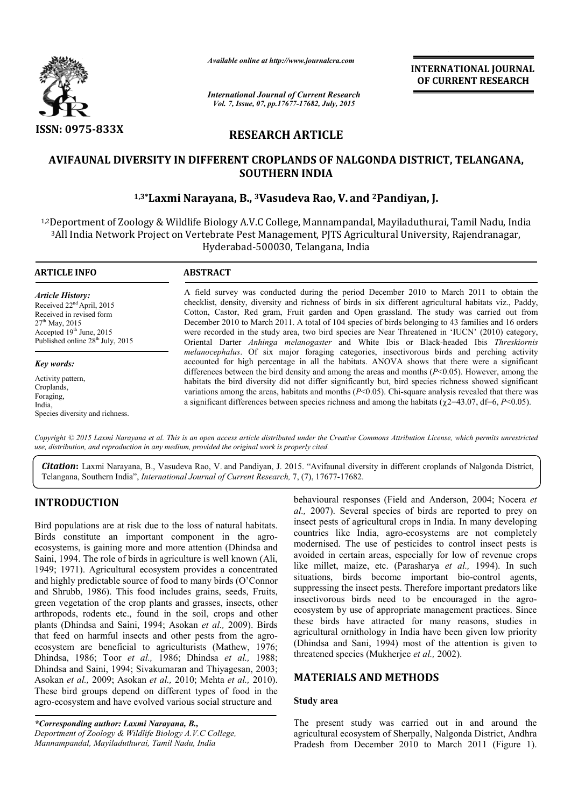

*Available online at http://www.journalcra.com*

*International Journal of Current Research Vol. 7, Issue, 07, pp.17677-17682, July, 2015*

**INTERNATIONAL JOURNAL OF CURRENT RESEARCH** 

# **RESEARCH ARTICLE**

# **AVIFAUNAL DIVERSITY IN DIFFERENT CROPLANDS OF NALGONDA DISTRICT, TELANGANA, SOUTHERN INDIA**

# **1,3\*Laxmi Narayana, B., 3Vasudeva Rao, V. and 2Pandiyan, J.**

1,2Deportment of Zoology & Wildlife Biology A.V.C College, Mannampandal, Mayiladuthurai, Tamil Nadu, India 3All India Network Project on Vertebrate Pest Management, PJTS Agricultural University, Rajendranagar, Hyderabad-500030, Telangana, India

1

#### **ARTICLE INFO ABSTRACT**

*Article History:* Received 22<sup>nd</sup> April, 2015 Received in revised form  $27<sup>th</sup>$  May, 2015 Accepted  $19<sup>th</sup>$  June, 2015 Published online  $28^{th}$  July, 2015

*Key words:* Activity pattern, Croplands, Foraging,

India, Species diversity and richness.

A field survey was conducted during the period December 2010 to March 2011 to obtain the checklist, density, diversity and richness of birds in six different agricultural habitats viz., Paddy, Cotton, Castor, Red gram, Fruit garden and Open grassland. The study was carried out from December 2010 to March 2011. A total of 104 species of birds belonging to 43 families and 16 orders were recorded in the study area, two bird species are Near Threatened in 'IUCN' (2010) category, Oriental Darter *Anhinga melanogaster* and White Ibis or Black-headed Ibis *Threskiornis melanocephalus*. Of six major foraging categories, insectivorous birds and perching activity accounted for high percentage in all the habitats. ANOVA shows that there were a significant differences between the bird density and among the areas and months (*P*<0.05). However, among the habitats the bird diversity did not differ significantly but, bird species richness showed significant variations among the areas, habitats and months (*P*<0.05). Chi-square analysis revealed that there was a significant differences between species richness and among the habitats ( $\chi$ 2=43.07, df=6, *P*<0.05).

*Copyright © 2015 Laxmi Narayana et al. This is an open access article distributed under the Creative Commons Attribution License, which permits unrestricted use, distribution, and reproduction in any medium, provided the original work is properly cited.*

*Citation***:** Laxmi Narayana, B., Vasudeva Rao, V. and Pandiyan, J. 2015. "Avifaunal diversity in different croplands of Nalgonda District, Telangana, Southern India", *International Journal of Current Research,* 7, (7), 17677-17682.

# **INTRODUCTION**

Bird populations are at risk due to the loss of natural habitats. Birds constitute an important component in the agroecosystems, is gaining more and more attention (Dhindsa and Saini, 1994. The role of birds in agriculture is well known (Ali, 1949; 1971). Agricultural ecosystem provides a concentrated and highly predictable source of food to many birds (O'Connor and Shrubb, 1986). This food includes grains, seeds, Fruits, green vegetation of the crop plants and grasses, insects, other arthropods, rodents etc., found in the soil, crops and other plants (Dhindsa and Saini, 1994; Asokan *et al.,* 2009). Birds that feed on harmful insects and other pests from the agroecosystem are beneficial to agriculturists (Mathew, 1976; Dhindsa, 1986; Toor *et al.,* 1986; Dhindsa *et al.,* 1988; Dhindsa and Saini, 1994; Sivakumaran and Thiyagesan, 2003; Asokan *et al.,* 2009; Asokan *et al.,* 2010; Mehta *et al.,* 2010). These bird groups depend on different types of food in the agro-ecosystem and have evolved various social structure and

*\*Corresponding author: Laxmi Narayana, B., Deportment of Zoology & Wildlife Biology A.V.C College, Mannampandal, Mayiladuthurai, Tamil Nadu, India*

behavioural responses (Field and Anderson, 2004; Nocera *et al.,* 2007). Several species of birds are reported to prey on insect pests of agricultural crops in India. In many developing countries like India, agro-ecosystems are not completely modernised. The use of pesticides to control insect pests is avoided in certain areas, especially for low of revenue crops like millet, maize, etc. (Parasharya *et al.,* 1994). In such situations, birds become important bio-control agents, suppressing the insect pests. Therefore important predators like insectivorous birds need to be encouraged in the agroecosystem by use of appropriate management practices. Since these birds have attracted for many reasons, studies in agricultural ornithology in India have been given low priority (Dhindsa and Sani, 1994) most of the attention is given to threatened species (Mukherjee *et al.,* 2002).

## **MATERIALS AND METHODS**

#### **Study area**

The present study was carried out in and around the agricultural ecosystem of Sherpally, Nalgonda District, Andhra Pradesh from December 2010 to March 2011 (Figure 1).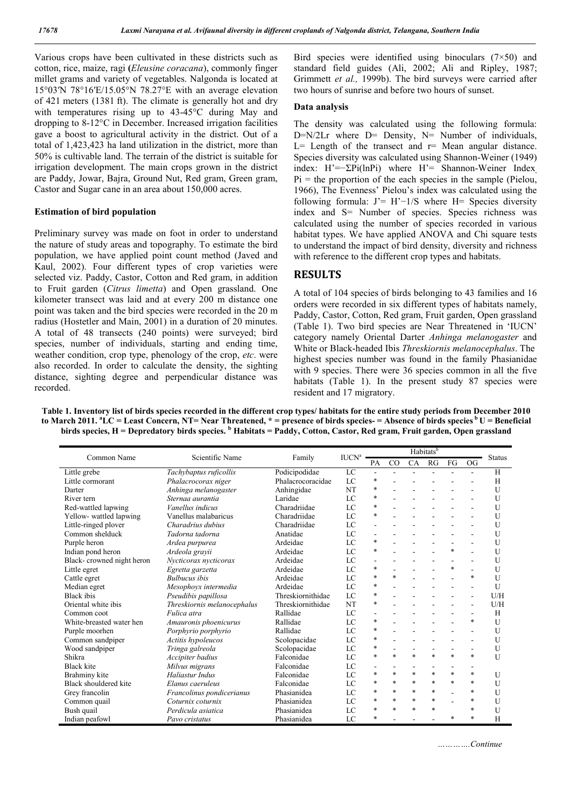Various crops have been cultivated in these districts such as cotton, rice, maize, ragi **(***Eleusine coracana*), commonly finger millet grams and variety of vegetables. Nalgonda is located at 15°03′N 78°16′E/15.05°N 78.27°E with an average elevation of 421 meters (1381 ft). The climate is generally hot and dry with temperatures rising up to 43-45°C during May and dropping to 8-12°C in December. Increased irrigation facilities gave a boost to agricultural activity in the district. Out of a total of 1,423,423 ha land utilization in the district, more than 50% is cultivable land. The terrain of the district is suitable for irrigation development. The main crops grown in the district are Paddy, Jowar, Bajra, Ground Nut, Red gram, Green gram, Castor and Sugar cane in an area about 150,000 acres.

#### **Estimation of bird population**

Preliminary survey was made on foot in order to understand the nature of study areas and topography. To estimate the bird population, we have applied point count method (Javed and Kaul, 2002). Four different types of crop varieties were selected viz. Paddy, Castor, Cotton and Red gram, in addition to Fruit garden (*Citrus limetta*) and Open grassland. One kilometer transect was laid and at every 200 m distance one point was taken and the bird species were recorded in the 20 m radius (Hostetler and Main, 2001) in a duration of 20 minutes. A total of 48 transects (240 points) were surveyed; bird species, number of individuals, starting and ending time, weather condition, crop type, phenology of the crop, *etc*. were also recorded. In order to calculate the density, the sighting distance, sighting degree and perpendicular distance was recorded.

Bird species were identified using binoculars  $(7 \times 50)$  and standard field guides (Ali, 2002; Ali and Ripley, 1987; Grimmett *et al.,* 1999b). The bird surveys were carried after two hours of sunrise and before two hours of sunset.

#### **Data analysis**

The density was calculated using the following formula: D=N/2Lr where D= Density, N= Number of individuals,  $L=$  Length of the transect and  $r=$  Mean angular distance. Species diversity was calculated using Shannon-Weiner (1949) index: H'=−ΣPi(lnPi) where H'= Shannon-Weiner Index,  $Pi$  = the proportion of the each species in the sample (Pielou, 1966), The Evenness' Pielou's index was calculated using the following formula: J'= H'−1/S where H= Species diversity index and S= Number of species. Species richness was calculated using the number of species recorded in various habitat types. We have applied ANOVA and Chi square tests to understand the impact of bird density, diversity and richness with reference to the different crop types and habitats.

## **RESULTS**

A total of 104 species of birds belonging to 43 families and 16 orders were recorded in six different types of habitats namely, Paddy, Castor, Cotton, Red gram, Fruit garden, Open grassland (Table 1). Two bird species are Near Threatened in 'IUCN' category namely Oriental Darter *Anhinga melanogaster* and White or Black-headed Ibis *Threskiornis melanocephalus*. The highest species number was found in the family Phasianidae with 9 species. There were 36 species common in all the five habitats (Table 1). In the present study 87 species were resident and 17 migratory.

**Table 1. Inventory list of birds species recorded in the different crop types/ habitats for the entire study periods from December 2010 to March 2011. a LC = Least Concern, NT= Near Threatened, \* = presence of birds species- = Absence of birds species b U = Beneficial birds species, H = Depredatory birds species. <sup>b</sup> Habitats = Paddy, Cotton, Castor, Red gram, Fruit garden, Open grassland**

|                           |                             |                   | Habitats <sup>b</sup>    |                          |        |        |                          |                          |           |               |
|---------------------------|-----------------------------|-------------------|--------------------------|--------------------------|--------|--------|--------------------------|--------------------------|-----------|---------------|
| Common Name               | Scientific Name             | Family            | $\text{IUCN}^{\text{a}}$ | PA                       | CO     | CA     | RG                       | FG                       | <b>OG</b> | <b>Status</b> |
| Little grebe              | Tachybaptus ruficollis      | Podicipodidae     | LC                       | $\blacksquare$           | $\sim$ | $\sim$ | $\sim$                   | $\sim$                   |           | H             |
| Little cormorant          | Phalacrocorax niger         | Phalacrocoracidae | LC                       | $\ast$                   |        |        |                          |                          |           | H             |
| Darter                    | Anhinga melanogaster        | Anhingidae        | NT                       | $\ast$                   |        |        |                          |                          |           | U             |
| River tern                | Sternaa aurantia            | Laridae           | LC                       | *                        |        |        |                          |                          |           | U             |
| Red-wattled lapwing       | Vanellus indicus            | Charadriidae      | LC                       | *                        |        |        |                          |                          |           | U             |
| Yellow- wattled lapwing   | Vanellus malabaricus        | Charadriidae      | LC                       | *                        |        |        |                          |                          |           | U             |
| Little-ringed plover      | Charadrius dubius           | Charadriidae      | $_{LC}$                  | ä,                       |        |        |                          |                          |           | U             |
| Common shelduck           | Tadorna tadorna             | Anatidae          | LC                       | $\sim$                   |        |        |                          |                          |           | U             |
| Purple heron              | Ardea purpurea              | Ardeidae          | LC                       | $\ast$                   |        |        |                          |                          |           | U             |
| Indian pond heron         | Ardeola grayii              | Ardeidae          | LC                       | *                        |        |        |                          | $\ast$                   |           | U             |
| Black-crowned night heron | Nycticorax nycticorax       | Ardeidae          | LC                       | $\blacksquare$           |        |        |                          |                          |           | U             |
| Little egret              | Egretta garzetta            | Ardeidae          | LC                       | *                        |        |        |                          | $\ast$                   |           | U             |
| Cattle egret              | <b>Bulbucus</b> ibis        | Ardeidae          | LC                       | $\ast$                   | $\ast$ |        |                          |                          | $\ast$    | U             |
| Median egret              | Mesophoyx intermedia        | Ardeidae          | LC                       | $\ast$                   |        |        |                          |                          |           | U             |
| <b>Black</b> ibis         | Pseudibis papillosa         | Threskiornithidae | LC                       | $\ast$                   |        |        |                          |                          |           | U/H           |
| Oriental white ibis       | Threskiornis melanocephalus | Threskiornithidae | <b>NT</b>                | *                        |        |        |                          |                          |           | U/H           |
| Common coot               | Fulica atra                 | Rallidae          | LC                       |                          |        |        |                          |                          |           | H             |
| White-breasted water hen  | Amauronis phoenicurus       | Rallidae          | LC                       | $\ast$                   |        |        |                          |                          | $\ast$    | U             |
| Purple moorhen            | Porphyrio porphyrio         | Rallidae          | LC                       | $\ast$                   |        |        |                          |                          |           | U             |
| Common sandpiper          | Actitis hypoleucos          | Scolopacidae      | LC                       | $\ast$                   |        |        |                          |                          |           | U             |
| Wood sandpiper            | Tringa galreola             | Scolopacidae      | LC                       | $\ast$                   |        |        | $\overline{\phantom{a}}$ | $\overline{\phantom{a}}$ |           | U             |
| Shikra                    | Accipiter badius            | Falconidae        | LC                       | $\ast$                   | $\ast$ | $\ast$ | $\ast$                   | $\ast$                   | $\ast$    | U             |
| <b>Black</b> kite         | Milvus migrans              | Falconidae        | LC                       | $\overline{\phantom{a}}$ |        |        |                          |                          |           |               |
| Brahminy kite             | Haliastur Indus             | Falconidae        | LC                       | $\ast$                   | $\ast$ | $\ast$ | $\ast$                   | $\ast$                   | $\ast$    | U             |
| Black shouldered kite     | Elanus caeruleus            | Falconidae        | LC                       | $\ast$                   | $\ast$ | $\ast$ | $\ast$                   | $\ast$                   | $\ast$    | U             |
| Grey francolin            | Francolinus pondicerianus   | Phasianidea       | LC                       | $\ast$                   | $\ast$ | $\ast$ | $\ast$                   |                          | $\ast$    | U             |
| Common quail              | Coturnix coturnix           | Phasianidea       | LC                       | $\ast$                   | $\ast$ | $\ast$ | $\ast$                   |                          | *         | U             |
| Bush quail                | Perdicula asiatica          | Phasianidea       | LC                       | $\ast$                   | $\ast$ | $\ast$ | $\ast$                   |                          | *         | U             |
| Indian peafowl            | Pavo cristatus              | Phasianidea       | LC                       | *                        |        |        |                          | $\ast$                   | *         | H             |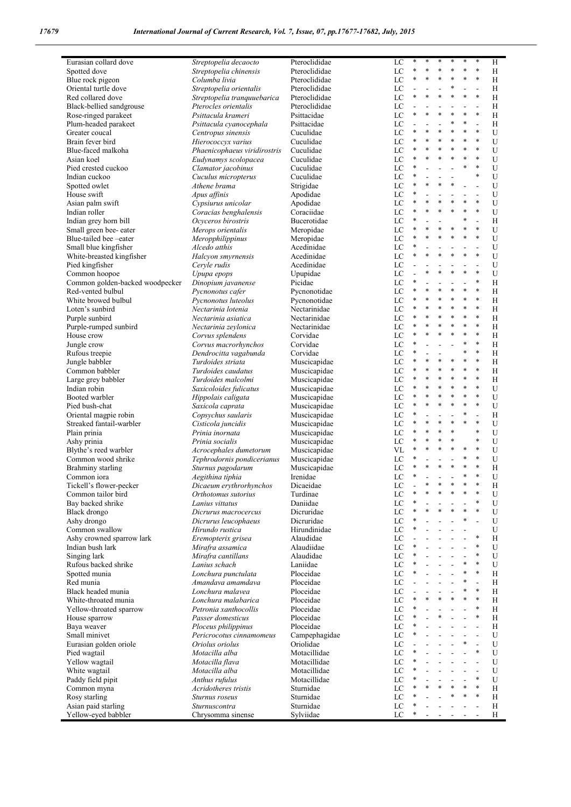| Eurasian collard dove           | Streptopelia decaocto        | Pteroclididae | LC | $\ast$         | *      | *              | $\ast$         | $\ast$                   | $\ast$         | Η |
|---------------------------------|------------------------------|---------------|----|----------------|--------|----------------|----------------|--------------------------|----------------|---|
| Spotted dove                    | Streptopelia chinensis       | Pteroclididae | LC | $\ast$         | $\ast$ | ×,             | *              | *                        | $\ast$         | H |
| Blue rock pigeon                | Columba livia                | Pteroclididae | LC | $\ast$         | $\ast$ | ×,             | $\ast$         | $\ast$                   | $\ast$         | H |
| Oriental turtle dove            | Streptopelia orientalis      | Pteroclididae | LC |                |        |                | $\ast$         | ÷.                       | $\overline{a}$ | H |
| Red collared dove               |                              | Pteroclididae | LC | $\ast$         | $\ast$ | ×,             | $\ast$         | $\ast$                   | $\ast$         | H |
|                                 | Streptopelia tranquuebarica  |               |    |                |        |                |                |                          |                |   |
| Black-bellied sandgrouse        | Pterocles orientalis         | Pteroclididae | LC |                |        |                |                | $\overline{a}$           | $\overline{a}$ | H |
| Rose-ringed parakeet            | Psittacula krameri           | Psittacidae   | LC | *              | $\ast$ | ×,             | $\ast$         | $\ast$                   | $\ast$         | H |
| Plum-headed parakeet            | Psittacula cyanocephala      | Psittacidae   | LC |                |        |                | $\ast$         | $\ast$                   | ÷,             | H |
| Greater coucal                  | Centropus sinensis           | Cuculidae     | LC | $\ast$         |        |                | $\ast$         | *                        | $\ast$         | U |
| Brain fever bird                | Hierococcyx varius           | Cuculidae     | LC | $\ast$         | $\ast$ | $\ast$         | $\ast$         | $\ast$                   | $\ast$         | U |
| Blue-faced malkoha              | Phaenicophaeus viridirostris | Cuculidae     | LC | *              | $\ast$ | ×,             | $\ast$         | $\ast$                   | $\ast$         | U |
| Asian koel                      | Eudynamys scolopacea         | Cuculidae     | LC | $\ast$         |        | $\ast$         | $\ast$         | $\ast$                   | $\ast$         | U |
|                                 |                              |               |    | *              |        |                |                | $\ast$                   | $\ast$         | U |
| Pied crested cuckoo             | Clamator jacobinus           | Cuculidae     | LC |                |        |                |                |                          |                |   |
| Indian cuckoo                   | Cuculus micropterus          | Cuculidae     | LC | *              |        |                |                |                          | $\ast$         | U |
| Spotted owlet                   | Athene brama                 | Strigidae     | LC | *              | $\ast$ | *              | $\ast$         | $\overline{a}$           | $\overline{a}$ | U |
| House swift                     | Apus affinis                 | Apodidae      | LC | *              |        |                |                | $\overline{a}$           |                | U |
| Asian palm swift                | Cypsiurus unicolar           | Apodidae      | LC | *              |        | ×,             | $\ast$         | *                        | $\ast$         | U |
| Indian roller                   | Coracias benghalensis        | Coraciidae    | LC | $\ast$         | $\ast$ | ×,             | $\ast$         | $\ast$                   | $\ast$         | U |
| Indian grey horn bill           | Ocyceros birostris           | Bucerotidae   | LC | *              |        |                |                | ŧ                        | $\overline{a}$ | H |
| Small green bee- eater          | Merops orientalis            | Meropidae     | LC | $\ast$         |        | ×,             | $\ast$         | $\ast$                   | $\ast$         | U |
|                                 |                              |               |    | *              |        |                | $\ast$         | *                        | $\ast$         |   |
| Blue-tailed bee-eater           | Meropphilippinus             | Meropidae     | LC |                |        |                |                |                          |                | U |
| Small blue kingfisher           | Alcedo atthis                | Acedinidae    | LC | *              |        |                |                | $\overline{a}$           | $\overline{a}$ | U |
| White-breasted kingfisher       | Halcyon smyrnensis           | Acedinidae    | LC | $\ast$         |        |                | $\ast$         | $\ast$                   | $\ast$         | U |
| Pied kingfisher                 | Ceryle rudis                 | Acedinidae    | LC |                |        |                |                | $\overline{a}$           | $\overline{a}$ | U |
| Common hoopoe                   | Upupa epops                  | Upupidae      | LC |                | $\ast$ | ×,             | $\ast$         | $\ast$                   | $\ast$         | U |
| Common golden-backed woodpecker | Dinopium javanense           | Picidae       | LC | *              |        |                |                | $\overline{a}$           | $\ast$         | H |
| Red-vented bulbul               | Pycnonotus cafer             | Pycnonotidae  | LC | $\ast$         | $\ast$ | *              | $\ast$         | $\ast$                   | $\ast$         | H |
| White browed bulbul             | Pycnonotus luteolus          | Pycnonotidae  | LC | ŧ              | $\ast$ | *              | $\ast$         | $\ast$                   | $\ast$         | H |
|                                 |                              |               |    | *              |        | ×,             | $\ast$         | $\ast$                   | $\ast$         |   |
| Loten's sunbird                 | Nectarinia lotenia           | Nectarinidae  | LC |                |        |                |                |                          |                | H |
| Purple sunbird                  | Nectarinia asiatica          | Nectarinidae  | LC | *              |        |                | $\ast$         | *                        | $\ast$         | H |
| Purple-rumped sunbird           | Nectarinia zeylonica         | Nectarinidae  | LC | $\ast$         |        |                | $\ast$         | *                        | $\ast$         | H |
| House crow                      | Corvus splendens             | Corvidae      | LC | *              | $\ast$ | ×,             | $\ast$         | $\ast$                   | $\ast$         | H |
| Jungle crow                     | Corvus macrorhynchos         | Corvidae      | LC | *              |        |                |                | $\ast$                   | $\ast$         | H |
| Rufous treepie                  | Dendrocitta vagabunda        | Corvidae      | LC | ŧ              |        |                |                | $\ast$                   | $\ast$         | H |
| Jungle babbler                  | Turdoides striata            | Muscicapidae  | LC | $\ast$         | $\ast$ | ×,             | $\ast$         | $\ast$                   | $\ast$         | H |
| Common babbler                  | Turdoides caudatus           | Muscicapidae  | LC | *              | $\ast$ | *              | $\ast$         | $\ast$                   | $\ast$         | H |
| Large grey babbler              | Turdoides malcolmi           | Muscicapidae  | LC | $\ast$         |        | ×,             | $\ast$         | $\ast$                   | $\ast$         | H |
|                                 |                              |               |    | $\ast$         |        |                | $\ast$         | $\ast$                   | $\ast$         |   |
| Indian robin                    | Saxicoloides fulicatus       | Muscicapidae  | LC |                |        |                |                |                          |                | U |
| Booted warbler                  | Hippolais caligata           | Muscicapidae  | LC | $\ast$         |        |                | $\ast$         | *                        | $\ast$         | U |
| Pied bush-chat                  | Saxicola caprata             | Muscicapidae  | LC | $\ast$         | $\ast$ | $\ast$         | $\ast$         | $\ast$                   | $\ast$         | U |
| Oriental magpie robin           | Copsychus saularis           | Muscicapidae  | LC | *              |        |                |                | $\ast$                   | $\overline{a}$ | H |
| Streaked fantail-warbler        | Cisticola juncidis           | Muscicapidae  | LC | $\ast$         | $\ast$ | *              | $\ast$         | $\ast$                   | $\ast$         | U |
| Plain prinia                    | Prinia inornata              | Muscicapidae  | LC | *              | $\ast$ | ×,             | $\ast$         |                          | $\ast$         | U |
| Ashy prinia                     | Prinia socialis              | Muscicapidae  | LC | *              |        | *              | $\ast$         |                          | $\ast$         | U |
| Blythe's reed warbler           | Acrocephales dumetorum       | Muscicapidae  | VL | $\ast$         |        | ×,             | $\ast$         | *                        | $\ast$         | U |
|                                 |                              |               |    | $\ast$         |        |                |                | *                        | $\ast$         |   |
| Common wood shrike              | Tephrodornis pondicerianus   | Muscicapidae  | LC |                |        | *              | $\ast$         | $\ast$                   | $\ast$         | U |
| Brahminy starling               | Sturnus pagodarum            | Muscicapidae  | LC | *              |        |                |                |                          |                | H |
| Common iora                     | Aegithina tiphia             | Irenidae      | LC | $\ast$         |        |                |                | $\ast$                   | $\ast$         | U |
| Tickell's flower-pecker         | Dicaeum erythrorhynchos      | Dicaeidae     | LC |                | $\ast$ | *              | $\ast$         | $\ast$                   | $\ast$         | Η |
| Common tailor bird              | Orthotomus sutorius          | Turdinae      | LC | $\ast$         | $\ast$ | ×,             | $\ast$         | $\ast$                   | $\ast$         | U |
| Bay backed shrike               | Lanius vittatus              | Daniidae      | LC | *              |        |                |                | $\overline{a}$           | $\ast$         | U |
| Black drongo                    | Dicrurus macrocercus         | Dicruridae    | LC | $\ast$         |        | $\ast$         | $\ast$         | $\ast$                   | $\ast$         | U |
| Ashy drongo                     | Dicrurus leucophaeus         | Dicruridae    | LC | $\ast$         |        |                |                | $\ast$                   | $\overline{a}$ | U |
| Common swallow                  |                              | Hirundinidae  | LC | *              |        |                |                | $\overline{a}$           |                | U |
|                                 | Hirundo rustica              |               |    |                |        |                |                |                          | $\ast$         |   |
| Ashy crowned sparrow lark       | Eremopterix grisea           | Alaudidae     | LC |                |        |                |                | $\overline{a}$           |                | H |
| Indian bush lark                | Mirafra assamica             | Alaudiidae    | LC | *              |        |                |                | ÷,                       | $\ast$         | U |
| Singing lark                    | Mirafra cantillans           | Alaudidae     | LC | *              |        |                |                | $\overline{a}$           | $\ast$         | U |
| Rufous backed shrike            | Lanius schach                | Laniidae      | LC | *              |        | $\overline{a}$ |                | $\ast$                   | $\ast$         | U |
| Spotted munia                   | Lonchura punctulata          | Ploceidae     | LC | ŧ              |        | $\overline{a}$ |                | $\ast$                   | $\ast$         | H |
| Red munia                       | Amandava amamdava            | Ploceidae     | LC | $\overline{a}$ |        |                |                | $\ast$                   | $\overline{a}$ | Н |
| Black headed munia              | Lonchura malayea             | Ploceidae     | LC |                |        |                |                | $\ast$                   | $\ast$         | H |
| White-throated munia            | Lonchura malabarica          | Ploceidae     | LC | *              | $\ast$ | *              | $\ast$         | $\ast$                   | $\ast$         | H |
|                                 |                              |               |    | ŧ              |        |                |                |                          | $\ast$         |   |
| Yellow-throated sparrow         | Petronia xanthocollis        | Ploceidae     | LC |                |        | *              |                | $\overline{a}$           | $\ast$         | Н |
| House sparrow                   | Passer domesticus            | Ploceidae     | LC | ŧ              |        |                |                | $\overline{a}$           |                | H |
| Baya weaver                     | Ploceus philippinus          | Ploceidae     | LC | $\ast$         |        |                |                | ÷,                       | ÷,             | Н |
| Small minivet                   | Pericrocotus cinnamomeus     | Campephagidae | LC | $\ast$         |        |                |                | $\blacksquare$           | $\overline{a}$ | U |
| Eurasian golden oriole          | Oriolus oriolus              | Oriolidae     | LC |                |        |                |                | $\ast$                   | $\overline{a}$ | U |
| Pied wagtail                    | Motacilla alba               | Motacillidae  | LC | $\ast$         |        |                | $\overline{a}$ | $\overline{a}$           | $\ast$         | U |
| Yellow wagtail                  | Motacilla flava              | Motacillidae  | LC | $\ast$         |        |                |                | ÷,                       | $\overline{a}$ | U |
| White wagtail                   | Motacilla alba               | Motacillidae  | LC | ŧ              |        |                |                | ÷,                       | $\overline{a}$ | U |
| Paddy field pipit               | Anthus rufulus               | Motacillidae  | LC | ŧ              |        |                | $\overline{a}$ | $\overline{a}$           | $\ast$         | U |
|                                 |                              |               |    | $\ast$         |        | *              | $\ast$         | $\ast$                   | $\ast$         |   |
| Common myna                     | Acridotheres tristis         | Sturnidae     | LC | *              |        |                | *              | $\ast$                   | $\ast$         | Н |
| Rosy starling                   | Sturnus roseus               | Sturnidae     | LC |                |        |                |                |                          |                | H |
| Asian paid starling             | Sturnuscontra                | Sturnidae     | LC | ŧ              |        |                |                | $\frac{1}{2}$            | $\overline{a}$ | H |
| Yellow-eyed babbler             | Chrysomma sinense            | Sylviidae     | LC | $\ast$         |        |                |                | $\overline{\phantom{a}}$ |                | H |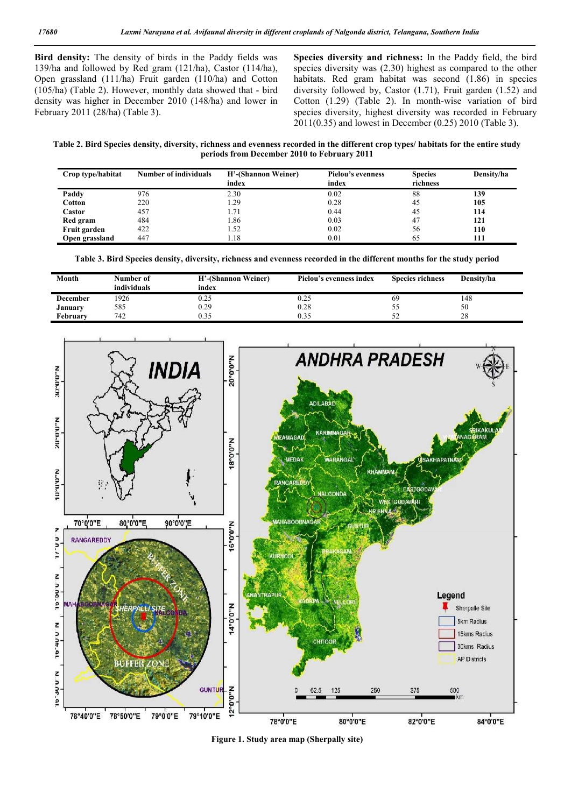**Bird density:** The density of birds in the Paddy fields was 139/ha and followed by Red gram (121/ha), Castor (114/ha), Open grassland (111/ha) Fruit garden (110/ha) and Cotton (105/ha) (Table 2). However, monthly data showed that - bird density was higher in December 2010 (148/ha) and lower in February 2011 (28/ha) (Table 3).

**Species diversity and richness:** In the Paddy field, the bird species diversity was (2.30) highest as compared to the other habitats. Red gram habitat was second  $(1.86)$  in species diversity followed by, Castor (1.71), Fruit garden (1.52) and Cotton (1.29) (Table 2). In month-wise variation of bird species diversity, highest diversity was recorded in February 2011(0.35) and lowest in December (0.25) 2010 (Table 3).

**Table 2. Bird Species density, diversity, richness and evenness recorded in the different crop types/ habitats for the entire study periods from December 2010 to February 2011**

| Crop type/habitat | <b>Number of individuals</b> | H'-(Shannon Weiner)<br>index | <b>Pielou's evenness</b><br>index | <b>Species</b><br>richness | Density/ha |
|-------------------|------------------------------|------------------------------|-----------------------------------|----------------------------|------------|
| Paddy             | 976                          | 2.30                         | 0.02                              | 88                         | 139        |
| Cotton            | 220                          | 1.29                         | 0.28                              | 45                         | 105        |
| Castor            | 457                          | 1.71                         | 0.44                              | 45                         | 114        |
| Red gram          | 484                          | 1.86                         | 0.03                              | 47                         | 121        |
| Fruit garden      | 422                          | 1.52                         | 0.02                              | 56                         | 110        |
| Open grassland    | 447                          | 1.18                         | 0.01                              | 65                         | 111        |

**Table 3. Bird Species density, diversity, richness and evenness recorded in the different months for the study period**

| Month           | Number of<br>individuals | H'-(Shannon Weiner)<br>index | Pielou's evenness index | <b>Species richness</b> | Density/ha |
|-----------------|--------------------------|------------------------------|-------------------------|-------------------------|------------|
| <b>December</b> | 1926                     | 0.25                         | 0.25                    | 69                      | 148        |
| January         | 585                      | 0.29                         | 0.28                    | Эž                      | 50         |
| Februarv        | 742                      | 0.35                         | 0.35                    | ے ر                     | 28         |



**Figure 1. Study area map (Sherpally site)**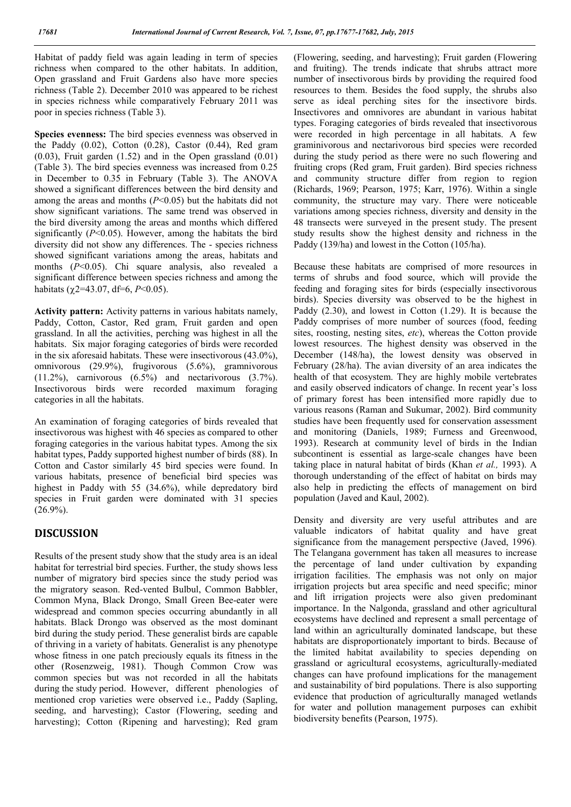Habitat of paddy field was again leading in term of species richness when compared to the other habitats. In addition, Open grassland and Fruit Gardens also have more species richness (Table 2). December 2010 was appeared to be richest in species richness while comparatively February 2011 was poor in species richness (Table 3).

**Species evenness:** The bird species evenness was observed in the Paddy (0.02), Cotton (0.28), Castor (0.44), Red gram  $(0.03)$ , Fruit garden  $(1.52)$  and in the Open grassland  $(0.01)$ (Table 3). The bird species evenness was increased from 0.25 in December to 0.35 in February (Table 3). The ANOVA showed a significant differences between the bird density and among the areas and months (*P*<0.05) but the habitats did not show significant variations. The same trend was observed in the bird diversity among the areas and months which differed significantly  $(P<0.05)$ . However, among the habitats the bird diversity did not show any differences. The - species richness showed significant variations among the areas, habitats and months (*P*<0.05). Chi square analysis, also revealed a significant difference between species richness and among the habitats ( $\gamma$ 2=43.07, df=6, *P*<0.05).

**Activity pattern:** Activity patterns in various habitats namely, Paddy, Cotton, Castor, Red gram, Fruit garden and open grassland. In all the activities, perching was highest in all the habitats. Six major foraging categories of birds were recorded in the six aforesaid habitats. These were insectivorous (43.0%), omnivorous (29.9%), frugivorous (5.6%), gramnivorous (11.2%), carnivorous (6.5%) and nectarivorous (3.7%). Insectivorous birds were recorded maximum foraging categories in all the habitats.

An examination of foraging categories of birds revealed that insectivorous was highest with 46 species as compared to other foraging categories in the various habitat types. Among the six habitat types, Paddy supported highest number of birds (88). In Cotton and Castor similarly 45 bird species were found. In various habitats, presence of beneficial bird species was highest in Paddy with 55 (34.6%), while depredatory bird species in Fruit garden were dominated with 31 species  $(26.9\%)$ .

# **DISCUSSION**

Results of the present study show that the study area is an ideal habitat for terrestrial bird species. Further, the study shows less number of migratory bird species since the study period was the migratory season. Red-vented Bulbul, Common Babbler, Common Myna, Black Drongo, Small Green Bee-eater were widespread and common species occurring abundantly in all habitats. Black Drongo was observed as the most dominant bird during the study period. These generalist birds are capable of thriving in a variety of habitats. Generalist is any phenotype whose fitness in one patch preciously equals its fitness in the other (Rosenzweig, 1981). Though Common Crow was common species but was not recorded in all the habitats during the study period. However, different phenologies of mentioned crop varieties were observed i.e., Paddy (Sapling, seeding, and harvesting); Castor (Flowering, seeding and harvesting); Cotton (Ripening and harvesting); Red gram (Flowering, seeding, and harvesting); Fruit garden (Flowering and fruiting). The trends indicate that shrubs attract more number of insectivorous birds by providing the required food resources to them. Besides the food supply, the shrubs also serve as ideal perching sites for the insectivore birds. Insectivores and omnivores are abundant in various habitat types. Foraging categories of birds revealed that insectivorous were recorded in high percentage in all habitats. A few graminivorous and nectarivorous bird species were recorded during the study period as there were no such flowering and fruiting crops (Red gram, Fruit garden). Bird species richness and community structure differ from region to region (Richards, 1969; Pearson, 1975; Karr, 1976). Within a single community, the structure may vary. There were noticeable variations among species richness, diversity and density in the 48 transects were surveyed in the present study. The present study results show the highest density and richness in the Paddy (139/ha) and lowest in the Cotton (105/ha).

Because these habitats are comprised of more resources in terms of shrubs and food source, which will provide the feeding and foraging sites for birds (especially insectivorous birds). Species diversity was observed to be the highest in Paddy (2.30), and lowest in Cotton (1.29). It is because the Paddy comprises of more number of sources (food, feeding sites, roosting, nesting sites, *etc*), whereas the Cotton provide lowest resources. The highest density was observed in the December (148/ha), the lowest density was observed in February (28/ha). The avian diversity of an area indicates the health of that ecosystem. They are highly mobile vertebrates and easily observed indicators of change. In recent year's loss of primary forest has been intensified more rapidly due to various reasons (Raman and Sukumar, 2002). Bird community studies have been frequently used for conservation assessment and monitoring (Daniels, 1989; Furness and Greenwood, 1993). Research at community level of birds in the Indian subcontinent is essential as large-scale changes have been taking place in natural habitat of birds (Khan *et al.,* 1993). A thorough understanding of the effect of habitat on birds may also help in predicting the effects of management on bird population (Javed and Kaul, 2002).

Density and diversity are very useful attributes and are valuable indicators of habitat quality and have great significance from the management perspective (Javed, 1996). The Telangana government has taken all measures to increase the percentage of land under cultivation by expanding irrigation facilities. The emphasis was not only on major irrigation projects but area specific and need specific; minor and lift irrigation projects were also given predominant importance. In the Nalgonda, grassland and other agricultural ecosystems have declined and represent a small percentage of land within an agriculturally dominated landscape, but these habitats are disproportionately important to birds. Because of the limited habitat availability to species depending on grassland or agricultural ecosystems, agriculturally-mediated changes can have profound implications for the management and sustainability of bird populations. There is also supporting evidence that production of agriculturally managed wetlands for water and pollution management purposes can exhibit biodiversity benefits (Pearson, 1975).